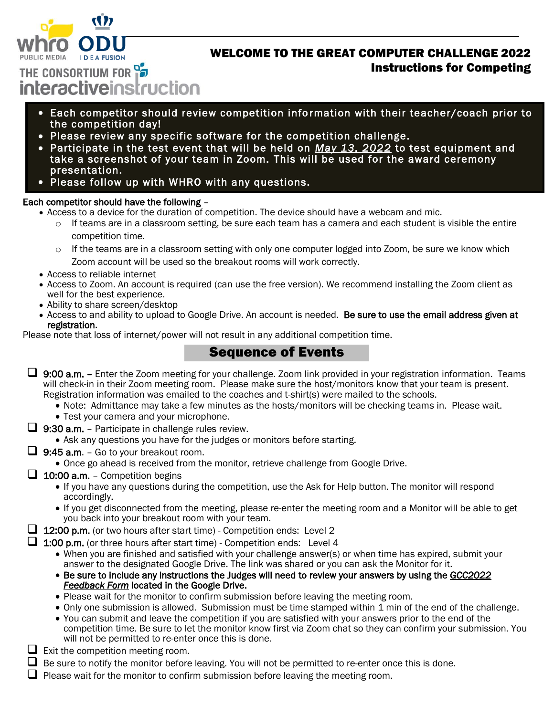

## WELCOME TO THE GREAT COMPUTER CHALLENGE 2022 Instructions for Competing

THE CONSORTIUM FOR **interactiveinstruction** 

- Each competitor should review competition info rmation with their teacher/coach prior to the competition day!
- Please review any specific software for the competition challenge.
- Participate in the test event that will be held on *May 13, 2022* to test equipment and take a screenshot of your team in Zoom. This will be used for the award ceremony presentation.
- Please follow up with WHRO with any questions.

## Each competitor should have the following –

- Access to a device for the duration of competition. The device should have a webcam and mic.
	- $\circ$  If teams are in a classroom setting, be sure each team has a camera and each student is visible the entire competition time.
	- o If the teams are in a classroom setting with only one computer logged into Zoom, be sure we know which Zoom account will be used so the breakout rooms will work correctly.
- Access to reliable internet
- Access to Zoom. An account is required (can use the free version). We recommend installing the Zoom client as well for the best experience.
- Ability to share screen/desktop
- Access to and ability to upload to Google Drive. An account is needed. Be sure to use the email address given at registration.

Please note that loss of internet/power will not result in any additional competition time.

## Sequence of Events

- $\Box$  9:00 a.m. Enter the Zoom meeting for your challenge. Zoom link provided in your registration information. Teams will check-in in their Zoom meeting room. Please make sure the host/monitors know that your team is present. Registration information was emailed to the coaches and t-shirt(s) were mailed to the schools.
	- Note: Admittance may take a few minutes as the hosts/monitors will be checking teams in. Please wait.
	- Test your camera and your microphone.
- $\Box$  **9:30 a.m.** Participate in challenge rules review.
	- Ask any questions you have for the judges or monitors before starting.
- $\Box$  9:45 a.m. Go to your breakout room.
	- Once go ahead is received from the monitor, retrieve challenge from Google Drive.
- $\Box$  10:00 a.m. Competition begins
	- If you have any questions during the competition, use the Ask for Help button. The monitor will respond accordingly.
	- If you get disconnected from the meeting, please re-enter the meeting room and a Monitor will be able to get you back into your breakout room with your team.
- 12:00 p.m. (or two hours after start time) Competition ends: Level 2

 $\Box$  1:00 p.m. (or three hours after start time) - Competition ends: Level 4

- When you are finished and satisfied with your challenge answer(s) or when time has expired, submit your answer to the designated Google Drive. The link was shared or you can ask the Monitor for it.
- Be sure to include any instructions the Judges will need to review your answers by using the *GCC2022 Feedback Form* located in the Google Drive.
- Please wait for the monitor to confirm submission before leaving the meeting room.
- Only one submission is allowed. Submission must be time stamped within 1 min of the end of the challenge.
- You can submit and leave the competition if you are satisfied with your answers prior to the end of the competition time. Be sure to let the monitor know first via Zoom chat so they can confirm your submission. You will not be permitted to re-enter once this is done.
- $\Box$  Exit the competition meeting room.
- $\Box$  Be sure to notify the monitor before leaving. You will not be permitted to re-enter once this is done.
- $\Box$  Please wait for the monitor to confirm submission before leaving the meeting room.